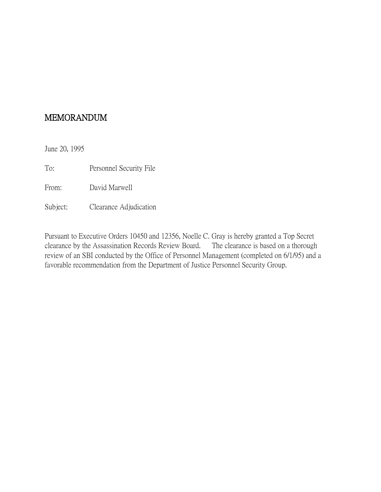June 20, 1995

To: Personnel Security File

From: David Marwell

Subject: Clearance Adjudication

Pursuant to Executive Orders 10450 and 12356, Noelle C. Gray is hereby granted a Top Secret clearance by the Assassination Records Review Board. The clearance is based on a thorough review of an SBI conducted by the Office of Personnel Management (completed on 6/1/95) and a favorable recommendation from the Department of Justice Personnel Security Group.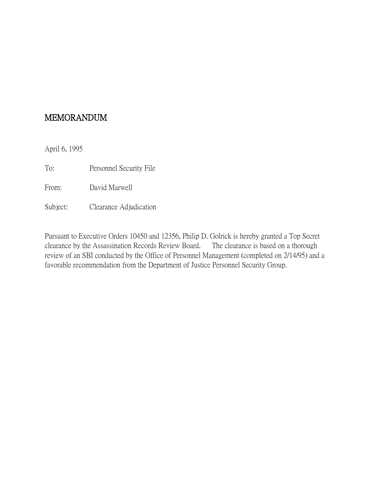April 6, 1995

To: Personnel Security File

From: David Marwell

Subject: Clearance Adjudication

Pursuant to Executive Orders 10450 and 12356, Philip D. Golrick is hereby granted a Top Secret clearance by the Assassination Records Review Board. The clearance is based on a thorough review of an SBI conducted by the Office of Personnel Management (completed on 2/14/95) and a favorable recommendation from the Department of Justice Personnel Security Group.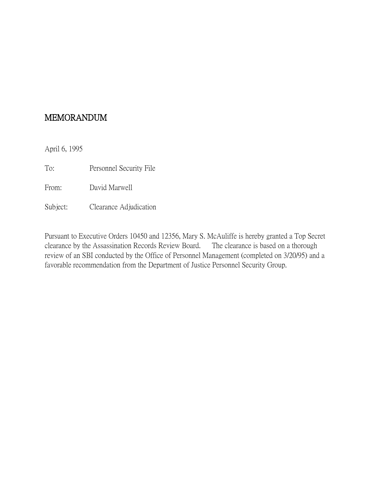April 6, 1995

To: Personnel Security File

From: David Marwell

Subject: Clearance Adjudication

Pursuant to Executive Orders 10450 and 12356, Mary S. McAuliffe is hereby granted a Top Secret clearance by the Assassination Records Review Board. The clearance is based on a thorough review of an SBI conducted by the Office of Personnel Management (completed on 3/20/95) and a favorable recommendation from the Department of Justice Personnel Security Group.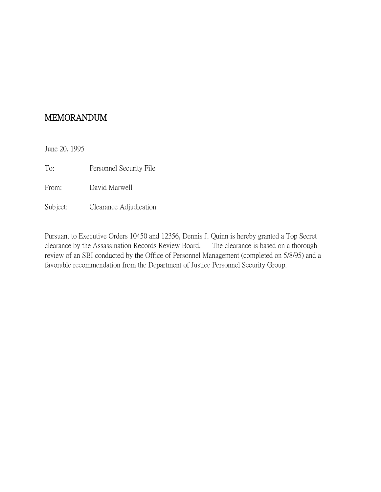June 20, 1995

To: Personnel Security File

From: David Marwell

Subject: Clearance Adjudication

Pursuant to Executive Orders 10450 and 12356, Dennis J. Quinn is hereby granted a Top Secret clearance by the Assassination Records Review Board. The clearance is based on a thorough review of an SBI conducted by the Office of Personnel Management (completed on 5/8/95) and a favorable recommendation from the Department of Justice Personnel Security Group.